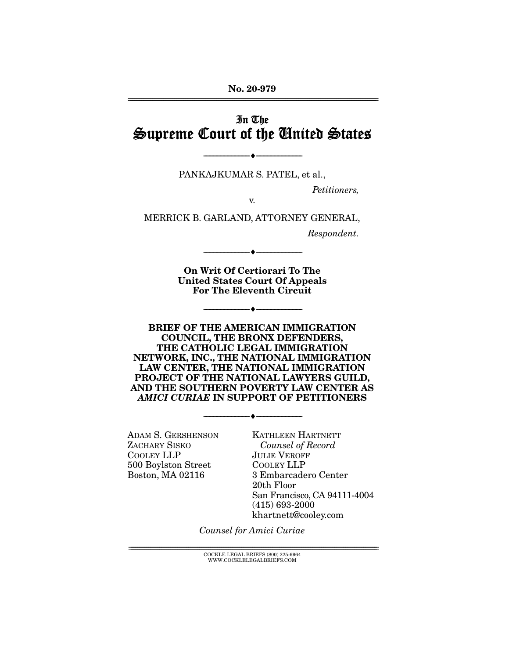**No. 20-979**  ================================================================================================================

## In The Supreme Court of the United States

PANKAJKUMAR S. PATEL, et al.,

 $\overbrace{\hspace{2.5cm}}$   $\overbrace{\hspace{2.5cm}}$   $\overbrace{\hspace{2.5cm}}$ 

Petitioners,

v.

MERRICK B. GARLAND, ATTORNEY GENERAL,

Respondent.

**On Writ Of Certiorari To The United States Court Of Appeals For The Eleventh Circuit** 

--------------------------------- ♦ ---------------------------------

--------------------------------- ♦ ---------------------------------

**BRIEF OF THE AMERICAN IMMIGRATION COUNCIL, THE BRONX DEFENDERS, THE CATHOLIC LEGAL IMMIGRATION NETWORK, INC., THE NATIONAL IMMIGRATION LAW CENTER, THE NATIONAL IMMIGRATION PROJECT OF THE NATIONAL LAWYERS GUILD, AND THE SOUTHERN POVERTY LAW CENTER AS**  *AMICI CURIAE* **IN SUPPORT OF PETITIONERS** 

 $\overbrace{\hspace{15mm}}$   $\overbrace{\hspace{15mm}}$ 

ADAM S. GERSHENSON ZACHARY SISKO COOLEY LLP 500 Boylston Street Boston, MA 02116

KATHLEEN HARTNETT Counsel of Record JULIE VEROFF COOLEY LLP 3 Embarcadero Center 20th Floor San Francisco, CA 94111-4004 (415) 693-2000 khartnett@cooley.com

Counsel for Amici Curiae

================================================================================================================ COCKLE LEGAL BRIEFS (800) 225-6964 WWW.COCKLELEGALBRIEFS.COM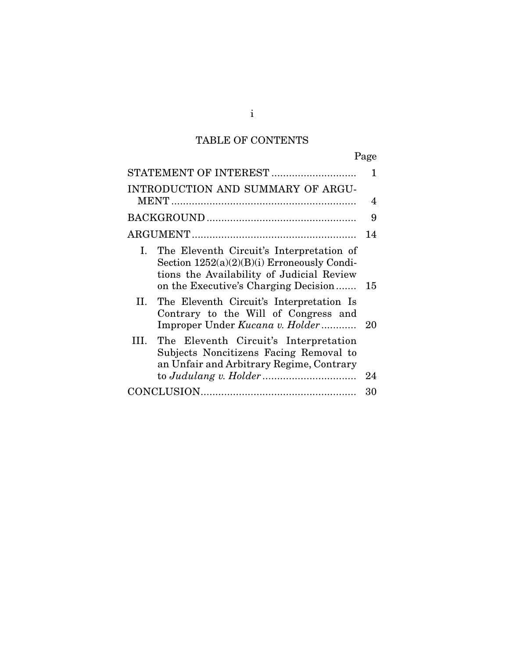# TABLE OF CONTENTS

| STATEMENT OF INTEREST                                                                                                                                                                | 1    |
|--------------------------------------------------------------------------------------------------------------------------------------------------------------------------------------|------|
| INTRODUCTION AND SUMMARY OF ARGU-                                                                                                                                                    | 4    |
|                                                                                                                                                                                      | 9    |
|                                                                                                                                                                                      | 14   |
| I.<br>The Eleventh Circuit's Interpretation of<br>Section $1252(a)(2)(B)(i)$ Erroneously Condi-<br>tions the Availability of Judicial Review<br>on the Executive's Charging Decision | 15   |
| II. The Eleventh Circuit's Interpretation Is<br>Contrary to the Will of Congress and<br>Improper Under Kucana v. Holder                                                              | - 20 |
| The Eleventh Circuit's Interpretation<br>HI.<br>Subjects Noncitizens Facing Removal to<br>an Unfair and Arbitrary Regime, Contrary                                                   |      |
|                                                                                                                                                                                      | 24   |
|                                                                                                                                                                                      | 30   |

i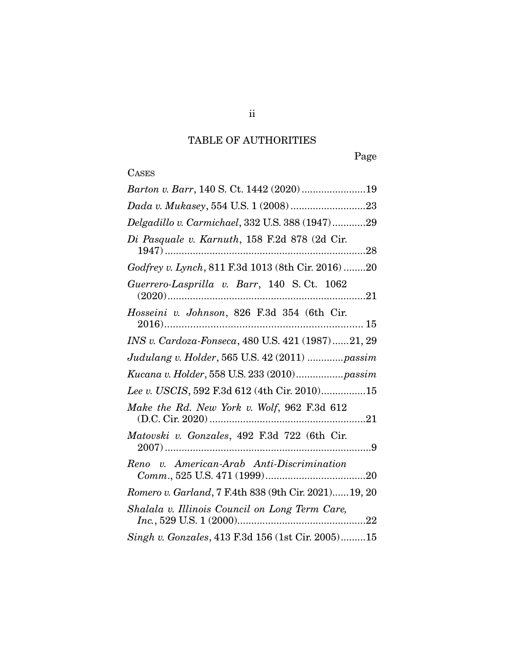## TABLE OF AUTHORITIES

Page

# **CASES**

| Barton v. Barr, 140 S. Ct. 1442 (2020) 19             |
|-------------------------------------------------------|
|                                                       |
| Delgadillo v. Carmichael, 332 U.S. 388 (1947)29       |
| Di Pasquale v. Karnuth, 158 F.2d 878 (2d Cir.         |
| Godfrey v. Lynch, 811 F.3d 1013 (8th Cir. 2016) 20    |
| Guerrero-Lasprilla v. Barr, 140 S.Ct. 1062            |
| Hosseini v. Johnson, 826 F.3d 354 (6th Cir.           |
| INS v. Cardoza-Fonseca, 480 U.S. 421 (1987)21, 29     |
| Judulang v. Holder, 565 U.S. 42 (2011) passim         |
| Kucana v. Holder, 558 U.S. 233 (2010) passim          |
| Lee v. USCIS, 592 F.3d 612 (4th Cir. 2010)15          |
| Make the Rd. New York v. Wolf, 962 F.3d 612           |
| Matovski v. Gonzales, 492 F.3d 722 (6th Cir.          |
| Reno v. American-Arab Anti-Discrimination             |
| Romero v. Garland, 7 F.4th 838 (9th Cir. 2021) 19, 20 |
| Shalala v. Illinois Council on Long Term Care,        |
| Singh v. Gonzales, 413 F.3d 156 (1st Cir. 2005)15     |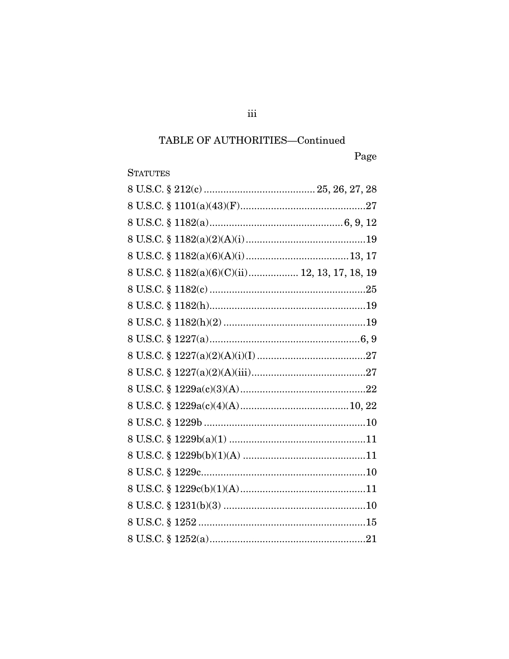## TABLE OF AUTHORITIES—Continued

# Page

## **STATUTES**

| 8 U.S.C. § 1182(a)(6)(C)(ii) 12, 13, 17, 18, 19 |  |
|-------------------------------------------------|--|
|                                                 |  |
|                                                 |  |
|                                                 |  |
|                                                 |  |
|                                                 |  |
|                                                 |  |
|                                                 |  |
|                                                 |  |
|                                                 |  |
|                                                 |  |
|                                                 |  |
|                                                 |  |
|                                                 |  |
|                                                 |  |
|                                                 |  |
|                                                 |  |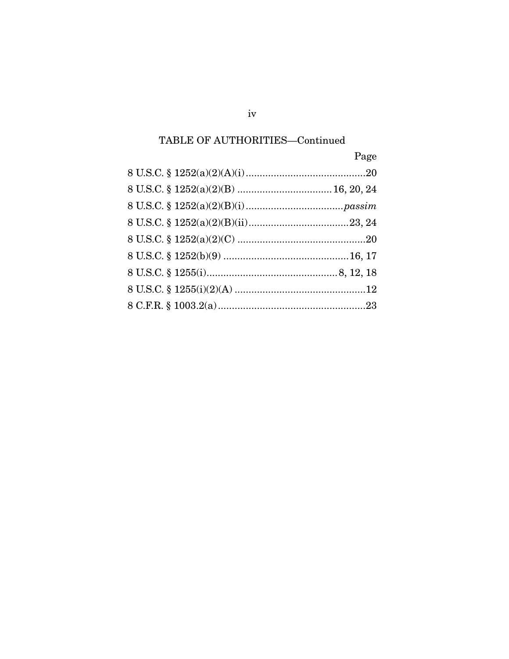## TABLE OF AUTHORITIES—Continued

| Page |
|------|
|      |
|      |
|      |
|      |
|      |
|      |
|      |
|      |
|      |

 $iv$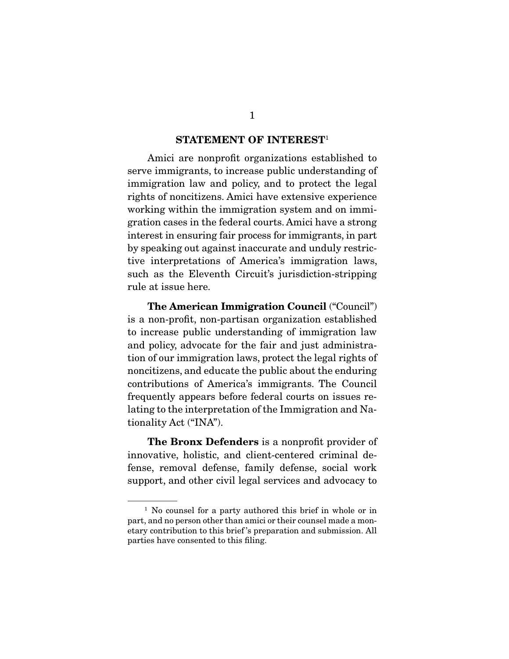#### **STATEMENT OF INTEREST**<sup>1</sup>

 Amici are nonprofit organizations established to serve immigrants, to increase public understanding of immigration law and policy, and to protect the legal rights of noncitizens. Amici have extensive experience working within the immigration system and on immigration cases in the federal courts. Amici have a strong interest in ensuring fair process for immigrants, in part by speaking out against inaccurate and unduly restrictive interpretations of America's immigration laws, such as the Eleventh Circuit's jurisdiction-stripping rule at issue here.

**The American Immigration Council** ("Council") is a non-profit, non-partisan organization established to increase public understanding of immigration law and policy, advocate for the fair and just administration of our immigration laws, protect the legal rights of noncitizens, and educate the public about the enduring contributions of America's immigrants. The Council frequently appears before federal courts on issues relating to the interpretation of the Immigration and Nationality Act ("INA").

**The Bronx Defenders** is a nonprofit provider of innovative, holistic, and client-centered criminal defense, removal defense, family defense, social work support, and other civil legal services and advocacy to

<sup>&</sup>lt;sup>1</sup> No counsel for a party authored this brief in whole or in part, and no person other than amici or their counsel made a monetary contribution to this brief 's preparation and submission. All parties have consented to this filing.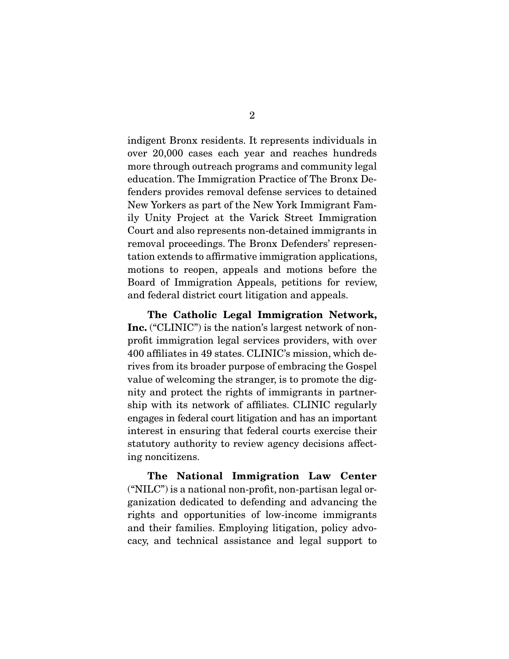indigent Bronx residents. It represents individuals in over 20,000 cases each year and reaches hundreds more through outreach programs and community legal education. The Immigration Practice of The Bronx Defenders provides removal defense services to detained New Yorkers as part of the New York Immigrant Family Unity Project at the Varick Street Immigration Court and also represents non-detained immigrants in removal proceedings. The Bronx Defenders' representation extends to affirmative immigration applications, motions to reopen, appeals and motions before the Board of Immigration Appeals, petitions for review, and federal district court litigation and appeals.

**The Catholic Legal Immigration Network, Inc.** ("CLINIC") is the nation's largest network of nonprofit immigration legal services providers, with over 400 affiliates in 49 states. CLINIC's mission, which derives from its broader purpose of embracing the Gospel value of welcoming the stranger, is to promote the dignity and protect the rights of immigrants in partnership with its network of affiliates. CLINIC regularly engages in federal court litigation and has an important interest in ensuring that federal courts exercise their statutory authority to review agency decisions affecting noncitizens.

**The National Immigration Law Center**  ("NILC") is a national non-profit, non-partisan legal organization dedicated to defending and advancing the rights and opportunities of low-income immigrants and their families. Employing litigation, policy advocacy, and technical assistance and legal support to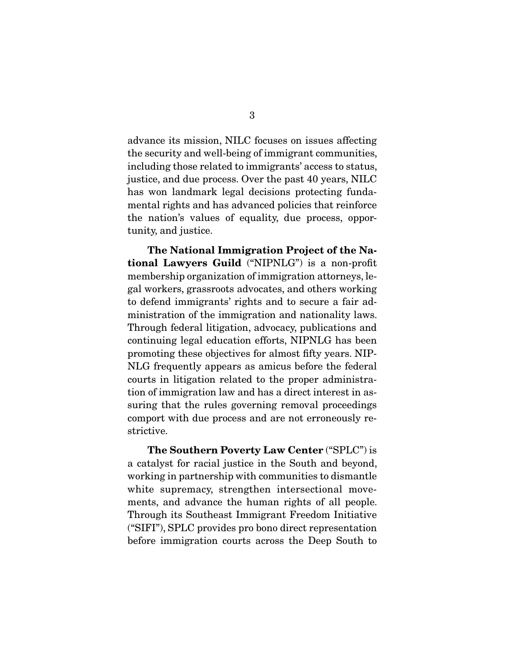advance its mission, NILC focuses on issues affecting the security and well-being of immigrant communities, including those related to immigrants' access to status, justice, and due process. Over the past 40 years, NILC has won landmark legal decisions protecting fundamental rights and has advanced policies that reinforce the nation's values of equality, due process, opportunity, and justice.

**The National Immigration Project of the National Lawyers Guild** ("NIPNLG") is a non-profit membership organization of immigration attorneys, legal workers, grassroots advocates, and others working to defend immigrants' rights and to secure a fair administration of the immigration and nationality laws. Through federal litigation, advocacy, publications and continuing legal education efforts, NIPNLG has been promoting these objectives for almost fifty years. NIP-NLG frequently appears as amicus before the federal courts in litigation related to the proper administration of immigration law and has a direct interest in assuring that the rules governing removal proceedings comport with due process and are not erroneously restrictive.

**The Southern Poverty Law Center** ("SPLC") is a catalyst for racial justice in the South and beyond, working in partnership with communities to dismantle white supremacy, strengthen intersectional movements, and advance the human rights of all people. Through its Southeast Immigrant Freedom Initiative ("SIFI"), SPLC provides pro bono direct representation before immigration courts across the Deep South to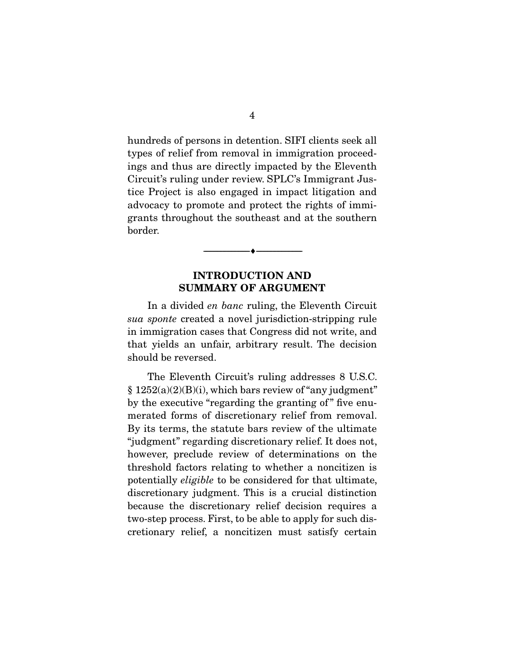hundreds of persons in detention. SIFI clients seek all types of relief from removal in immigration proceedings and thus are directly impacted by the Eleventh Circuit's ruling under review. SPLC's Immigrant Justice Project is also engaged in impact litigation and advocacy to promote and protect the rights of immigrants throughout the southeast and at the southern border.

### **INTRODUCTION AND SUMMARY OF ARGUMENT**

--------------------------------- ♦ ---------------------------------

 In a divided en banc ruling, the Eleventh Circuit sua sponte created a novel jurisdiction-stripping rule in immigration cases that Congress did not write, and that yields an unfair, arbitrary result. The decision should be reversed.

 The Eleventh Circuit's ruling addresses 8 U.S.C.  $§ 1252(a)(2)(B)(i)$ , which bars review of "any judgment" by the executive "regarding the granting of" five enumerated forms of discretionary relief from removal. By its terms, the statute bars review of the ultimate "judgment" regarding discretionary relief. It does not, however, preclude review of determinations on the threshold factors relating to whether a noncitizen is potentially eligible to be considered for that ultimate, discretionary judgment. This is a crucial distinction because the discretionary relief decision requires a two-step process. First, to be able to apply for such discretionary relief, a noncitizen must satisfy certain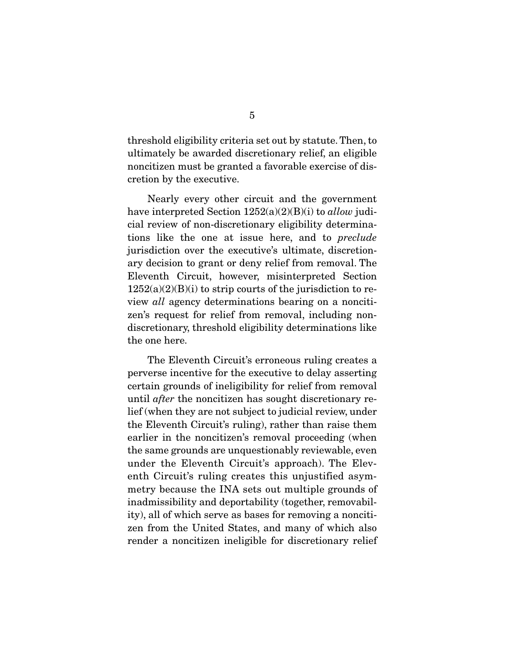threshold eligibility criteria set out by statute. Then, to ultimately be awarded discretionary relief, an eligible noncitizen must be granted a favorable exercise of discretion by the executive.

 Nearly every other circuit and the government have interpreted Section  $1252(a)(2)(B)(i)$  to allow judicial review of non-discretionary eligibility determinations like the one at issue here, and to preclude jurisdiction over the executive's ultimate, discretionary decision to grant or deny relief from removal. The Eleventh Circuit, however, misinterpreted Section  $1252(a)(2)(B)(i)$  to strip courts of the jurisdiction to review all agency determinations bearing on a noncitizen's request for relief from removal, including nondiscretionary, threshold eligibility determinations like the one here.

 The Eleventh Circuit's erroneous ruling creates a perverse incentive for the executive to delay asserting certain grounds of ineligibility for relief from removal until after the noncitizen has sought discretionary relief (when they are not subject to judicial review, under the Eleventh Circuit's ruling), rather than raise them earlier in the noncitizen's removal proceeding (when the same grounds are unquestionably reviewable, even under the Eleventh Circuit's approach). The Eleventh Circuit's ruling creates this unjustified asymmetry because the INA sets out multiple grounds of inadmissibility and deportability (together, removability), all of which serve as bases for removing a noncitizen from the United States, and many of which also render a noncitizen ineligible for discretionary relief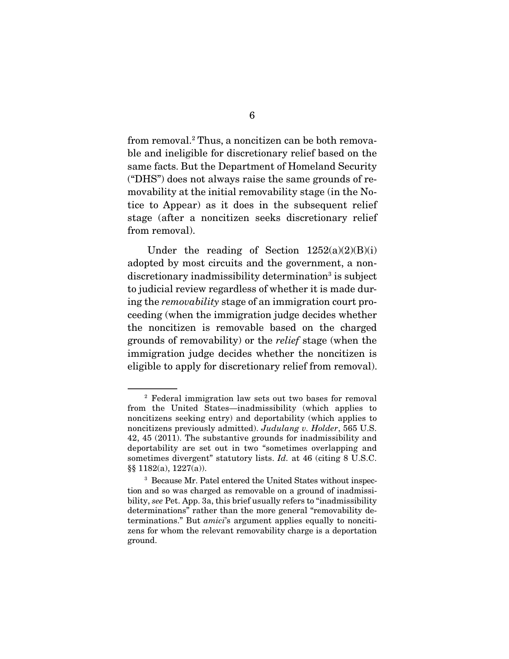from removal.2 Thus, a noncitizen can be both removable and ineligible for discretionary relief based on the same facts. But the Department of Homeland Security ("DHS") does not always raise the same grounds of removability at the initial removability stage (in the Notice to Appear) as it does in the subsequent relief stage (after a noncitizen seeks discretionary relief from removal).

Under the reading of Section  $1252(a)(2)(B)(i)$ adopted by most circuits and the government, a nondiscretionary inadmissibility determination<sup>3</sup> is subject to judicial review regardless of whether it is made during the removability stage of an immigration court proceeding (when the immigration judge decides whether the noncitizen is removable based on the charged grounds of removability) or the relief stage (when the immigration judge decides whether the noncitizen is eligible to apply for discretionary relief from removal).

<sup>2</sup> Federal immigration law sets out two bases for removal from the United States—inadmissibility (which applies to noncitizens seeking entry) and deportability (which applies to noncitizens previously admitted). Judulang v. Holder, 565 U.S. 42, 45 (2011). The substantive grounds for inadmissibility and deportability are set out in two "sometimes overlapping and sometimes divergent" statutory lists. *Id.* at 46 (citing 8 U.S.C. §§ 1182(a), 1227(a)).

<sup>3</sup> Because Mr. Patel entered the United States without inspection and so was charged as removable on a ground of inadmissibility, see Pet. App. 3a, this brief usually refers to "inadmissibility determinations" rather than the more general "removability determinations." But amici's argument applies equally to noncitizens for whom the relevant removability charge is a deportation ground.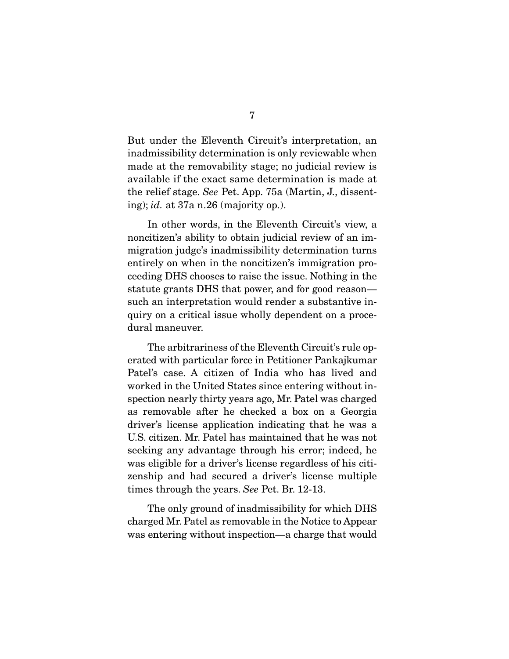But under the Eleventh Circuit's interpretation, an inadmissibility determination is only reviewable when made at the removability stage; no judicial review is available if the exact same determination is made at the relief stage. See Pet. App. 75a (Martin, J., dissenting); id. at 37a n.26 (majority op.).

 In other words, in the Eleventh Circuit's view, a noncitizen's ability to obtain judicial review of an immigration judge's inadmissibility determination turns entirely on when in the noncitizen's immigration proceeding DHS chooses to raise the issue. Nothing in the statute grants DHS that power, and for good reason such an interpretation would render a substantive inquiry on a critical issue wholly dependent on a procedural maneuver.

 The arbitrariness of the Eleventh Circuit's rule operated with particular force in Petitioner Pankajkumar Patel's case. A citizen of India who has lived and worked in the United States since entering without inspection nearly thirty years ago, Mr. Patel was charged as removable after he checked a box on a Georgia driver's license application indicating that he was a U.S. citizen. Mr. Patel has maintained that he was not seeking any advantage through his error; indeed, he was eligible for a driver's license regardless of his citizenship and had secured a driver's license multiple times through the years. See Pet. Br. 12-13.

 The only ground of inadmissibility for which DHS charged Mr. Patel as removable in the Notice to Appear was entering without inspection—a charge that would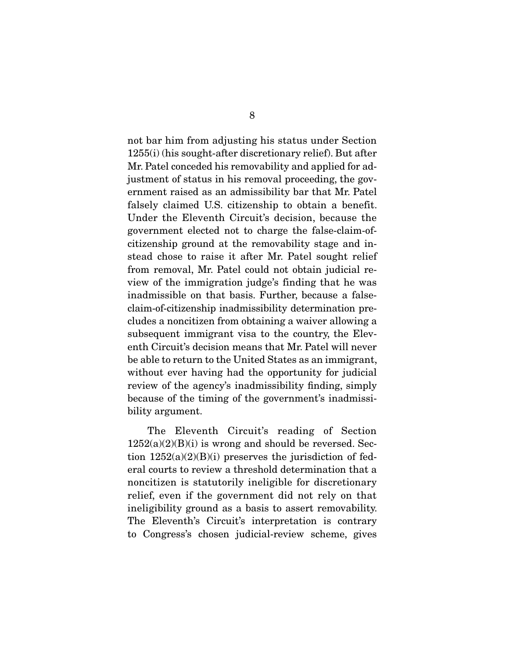not bar him from adjusting his status under Section 1255(i) (his sought-after discretionary relief). But after Mr. Patel conceded his removability and applied for adjustment of status in his removal proceeding, the government raised as an admissibility bar that Mr. Patel falsely claimed U.S. citizenship to obtain a benefit. Under the Eleventh Circuit's decision, because the government elected not to charge the false-claim-ofcitizenship ground at the removability stage and instead chose to raise it after Mr. Patel sought relief from removal, Mr. Patel could not obtain judicial review of the immigration judge's finding that he was inadmissible on that basis. Further, because a falseclaim-of-citizenship inadmissibility determination precludes a noncitizen from obtaining a waiver allowing a subsequent immigrant visa to the country, the Eleventh Circuit's decision means that Mr. Patel will never be able to return to the United States as an immigrant, without ever having had the opportunity for judicial review of the agency's inadmissibility finding, simply because of the timing of the government's inadmissibility argument.

 The Eleventh Circuit's reading of Section  $1252(a)(2)(B)(i)$  is wrong and should be reversed. Section  $1252(a)(2)(B)(i)$  preserves the jurisdiction of federal courts to review a threshold determination that a noncitizen is statutorily ineligible for discretionary relief, even if the government did not rely on that ineligibility ground as a basis to assert removability. The Eleventh's Circuit's interpretation is contrary to Congress's chosen judicial-review scheme, gives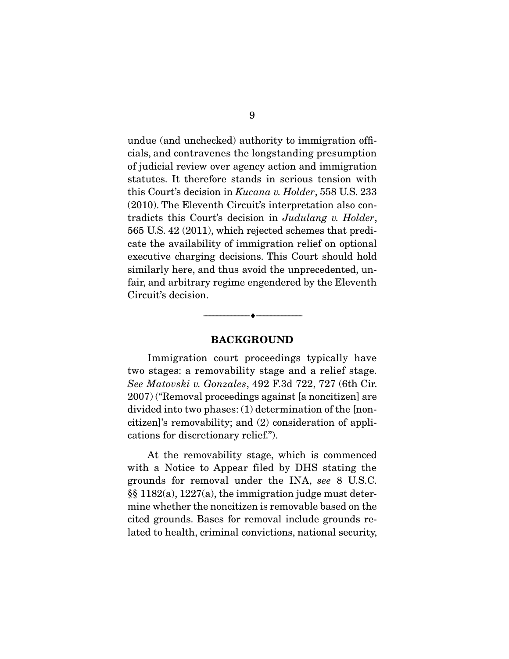undue (and unchecked) authority to immigration officials, and contravenes the longstanding presumption of judicial review over agency action and immigration statutes. It therefore stands in serious tension with this Court's decision in Kucana v. Holder, 558 U.S. 233 (2010). The Eleventh Circuit's interpretation also contradicts this Court's decision in Judulang v. Holder, 565 U.S. 42 (2011), which rejected schemes that predicate the availability of immigration relief on optional executive charging decisions. This Court should hold similarly here, and thus avoid the unprecedented, unfair, and arbitrary regime engendered by the Eleventh Circuit's decision.

#### **BACKGROUND**

--------------------------------- ♦ ---------------------------------

 Immigration court proceedings typically have two stages: a removability stage and a relief stage. See Matovski v. Gonzales, 492 F.3d 722, 727 (6th Cir. 2007) ("Removal proceedings against [a noncitizen] are divided into two phases: (1) determination of the [noncitizen]'s removability; and (2) consideration of applications for discretionary relief.").

 At the removability stage, which is commenced with a Notice to Appear filed by DHS stating the grounds for removal under the INA, see 8 U.S.C. §§ 1182(a), 1227(a), the immigration judge must determine whether the noncitizen is removable based on the cited grounds. Bases for removal include grounds related to health, criminal convictions, national security,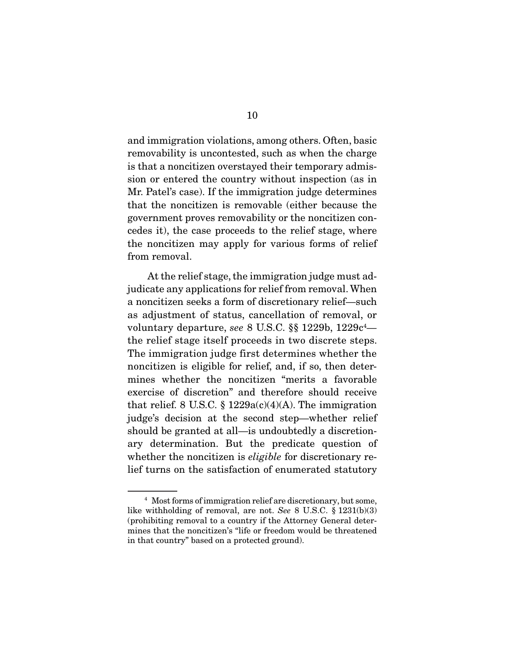and immigration violations, among others. Often, basic removability is uncontested, such as when the charge is that a noncitizen overstayed their temporary admission or entered the country without inspection (as in Mr. Patel's case). If the immigration judge determines that the noncitizen is removable (either because the government proves removability or the noncitizen concedes it), the case proceeds to the relief stage, where the noncitizen may apply for various forms of relief from removal.

 At the relief stage, the immigration judge must adjudicate any applications for relief from removal. When a noncitizen seeks a form of discretionary relief—such as adjustment of status, cancellation of removal, or voluntary departure, see 8 U.S.C.  $\$  \ 1229b, 1229 $c^4$  the relief stage itself proceeds in two discrete steps. The immigration judge first determines whether the noncitizen is eligible for relief, and, if so, then determines whether the noncitizen "merits a favorable exercise of discretion" and therefore should receive that relief. 8 U.S.C.  $\S$  1229a(c)(4)(A). The immigration judge's decision at the second step—whether relief should be granted at all—is undoubtedly a discretionary determination. But the predicate question of whether the noncitizen is *eligible* for discretionary relief turns on the satisfaction of enumerated statutory

<sup>&</sup>lt;sup>4</sup> Most forms of immigration relief are discretionary, but some, like withholding of removal, are not. See 8 U.S.C. § 1231(b)(3) (prohibiting removal to a country if the Attorney General determines that the noncitizen's "life or freedom would be threatened in that country" based on a protected ground).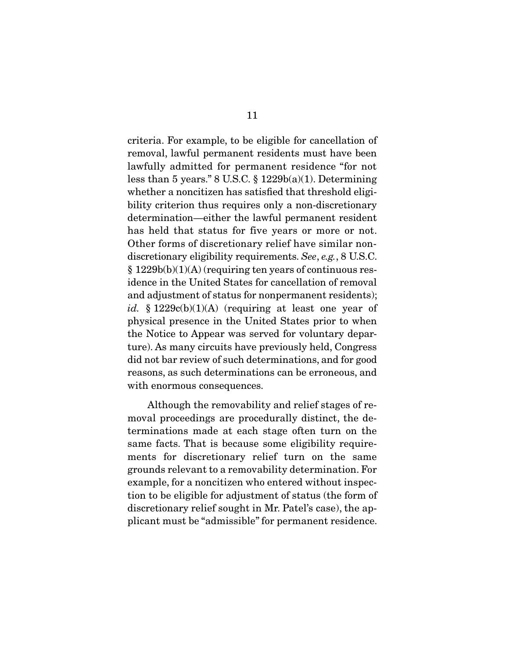criteria. For example, to be eligible for cancellation of removal, lawful permanent residents must have been lawfully admitted for permanent residence "for not less than 5 years."  $8 \text{ U.S.C.} \$   $1229b(a)(1)$ . Determining whether a noncitizen has satisfied that threshold eligibility criterion thus requires only a non-discretionary determination—either the lawful permanent resident has held that status for five years or more or not. Other forms of discretionary relief have similar nondiscretionary eligibility requirements. See, e.g., 8 U.S.C. § 1229b(b)(1)(A) (requiring ten years of continuous residence in the United States for cancellation of removal and adjustment of status for nonpermanent residents); id. § 1229 $c(b)(1)(A)$  (requiring at least one year of physical presence in the United States prior to when the Notice to Appear was served for voluntary departure). As many circuits have previously held, Congress did not bar review of such determinations, and for good reasons, as such determinations can be erroneous, and with enormous consequences.

 Although the removability and relief stages of removal proceedings are procedurally distinct, the determinations made at each stage often turn on the same facts. That is because some eligibility requirements for discretionary relief turn on the same grounds relevant to a removability determination. For example, for a noncitizen who entered without inspection to be eligible for adjustment of status (the form of discretionary relief sought in Mr. Patel's case), the applicant must be "admissible" for permanent residence.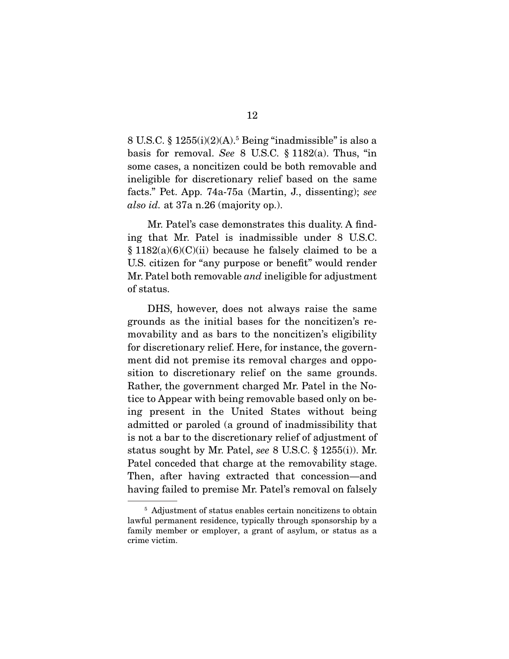$8$  U.S.C.  $\frac{8}{3}$  1255(i)(2)(A).<sup>5</sup> Being "inadmissible" is also a basis for removal. See 8 U.S.C. § 1182(a). Thus, "in some cases, a noncitizen could be both removable and ineligible for discretionary relief based on the same facts." Pet. App. 74a-75a (Martin, J., dissenting); see also id. at 37a n.26 (majority op.).

 Mr. Patel's case demonstrates this duality. A finding that Mr. Patel is inadmissible under 8 U.S.C.  $§ 1182(a)(6)(C)(ii)$  because he falsely claimed to be a U.S. citizen for "any purpose or benefit" would render Mr. Patel both removable *and* ineligible for adjustment of status.

 DHS, however, does not always raise the same grounds as the initial bases for the noncitizen's removability and as bars to the noncitizen's eligibility for discretionary relief. Here, for instance, the government did not premise its removal charges and opposition to discretionary relief on the same grounds. Rather, the government charged Mr. Patel in the Notice to Appear with being removable based only on being present in the United States without being admitted or paroled (a ground of inadmissibility that is not a bar to the discretionary relief of adjustment of status sought by Mr. Patel, see 8 U.S.C. § 1255(i)). Mr. Patel conceded that charge at the removability stage. Then, after having extracted that concession—and having failed to premise Mr. Patel's removal on falsely

<sup>&</sup>lt;sup>5</sup> Adjustment of status enables certain noncitizens to obtain lawful permanent residence, typically through sponsorship by a family member or employer, a grant of asylum, or status as a crime victim.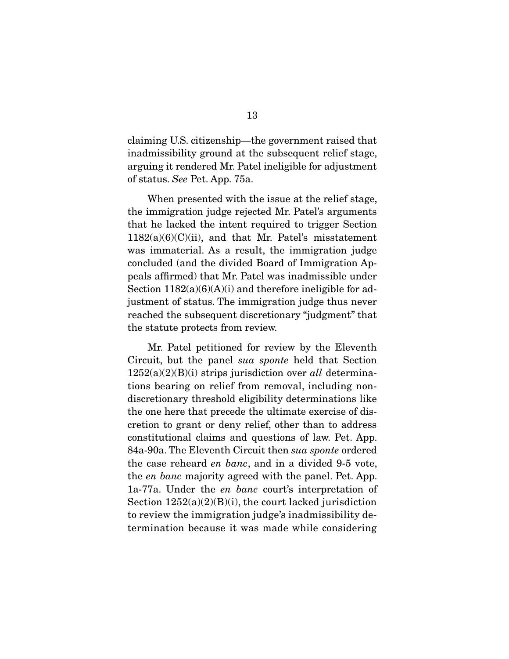claiming U.S. citizenship—the government raised that inadmissibility ground at the subsequent relief stage, arguing it rendered Mr. Patel ineligible for adjustment of status. See Pet. App. 75a.

 When presented with the issue at the relief stage, the immigration judge rejected Mr. Patel's arguments that he lacked the intent required to trigger Section  $1182(a)(6)(C)(ii)$ , and that Mr. Patel's misstatement was immaterial. As a result, the immigration judge concluded (and the divided Board of Immigration Appeals affirmed) that Mr. Patel was inadmissible under Section  $1182(a)(6)(A)(i)$  and therefore ineligible for adjustment of status. The immigration judge thus never reached the subsequent discretionary "judgment" that the statute protects from review.

 Mr. Patel petitioned for review by the Eleventh Circuit, but the panel sua sponte held that Section  $1252(a)(2)(B)(i)$  strips jurisdiction over all determinations bearing on relief from removal, including nondiscretionary threshold eligibility determinations like the one here that precede the ultimate exercise of discretion to grant or deny relief, other than to address constitutional claims and questions of law. Pet. App. 84a-90a. The Eleventh Circuit then sua sponte ordered the case reheard en banc, and in a divided 9-5 vote, the en banc majority agreed with the panel. Pet. App. 1a-77a. Under the en banc court's interpretation of Section 1252(a)(2)(B)(i), the court lacked jurisdiction to review the immigration judge's inadmissibility determination because it was made while considering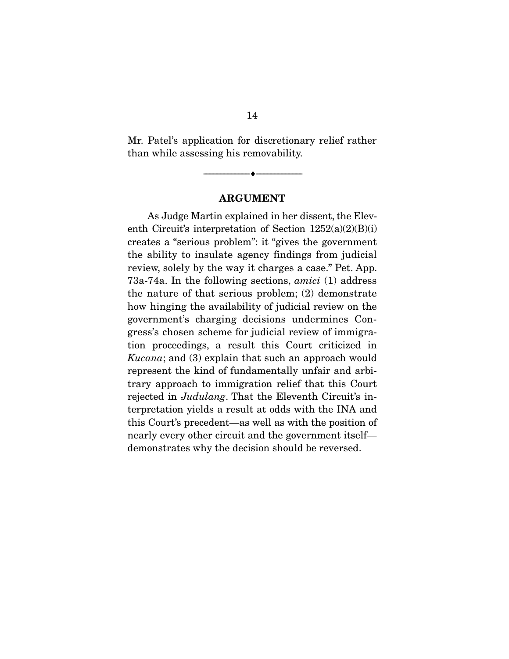Mr. Patel's application for discretionary relief rather than while assessing his removability.

--------------------------------- ♦ ---------------------------------

#### **ARGUMENT**

 As Judge Martin explained in her dissent, the Eleventh Circuit's interpretation of Section 1252(a)(2)(B)(i) creates a "serious problem": it "gives the government the ability to insulate agency findings from judicial review, solely by the way it charges a case." Pet. App. 73a-74a. In the following sections, amici (1) address the nature of that serious problem; (2) demonstrate how hinging the availability of judicial review on the government's charging decisions undermines Congress's chosen scheme for judicial review of immigration proceedings, a result this Court criticized in Kucana; and (3) explain that such an approach would represent the kind of fundamentally unfair and arbitrary approach to immigration relief that this Court rejected in Judulang. That the Eleventh Circuit's interpretation yields a result at odds with the INA and this Court's precedent—as well as with the position of nearly every other circuit and the government itself demonstrates why the decision should be reversed.

14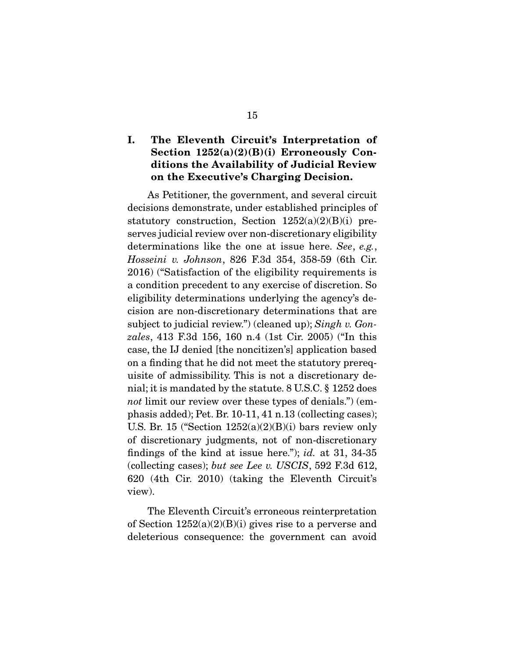### **I. The Eleventh Circuit's Interpretation of Section 1252(a)(2)(B)(i) Erroneously Conditions the Availability of Judicial Review on the Executive's Charging Decision.**

 As Petitioner, the government, and several circuit decisions demonstrate, under established principles of statutory construction, Section  $1252(a)(2)(B)(i)$  preserves judicial review over non-discretionary eligibility determinations like the one at issue here. See, e.g., Hosseini v. Johnson, 826 F.3d 354, 358-59 (6th Cir. 2016) ("Satisfaction of the eligibility requirements is a condition precedent to any exercise of discretion. So eligibility determinations underlying the agency's decision are non-discretionary determinations that are subject to judicial review.") (cleaned up); Singh v. Gonzales, 413 F.3d 156, 160 n.4 (1st Cir. 2005) ("In this case, the IJ denied [the noncitizen's] application based on a finding that he did not meet the statutory prerequisite of admissibility. This is not a discretionary denial; it is mandated by the statute. 8 U.S.C. § 1252 does not limit our review over these types of denials.") (emphasis added); Pet. Br. 10-11, 41 n.13 (collecting cases); U.S. Br. 15 ("Section  $1252(a)(2)(B)(i)$  bars review only of discretionary judgments, not of non-discretionary findings of the kind at issue here."); *id.* at 31, 34-35 (collecting cases); but see Lee v. USCIS, 592 F.3d 612, 620 (4th Cir. 2010) (taking the Eleventh Circuit's view).

 The Eleventh Circuit's erroneous reinterpretation of Section  $1252(a)(2)(B)(i)$  gives rise to a perverse and deleterious consequence: the government can avoid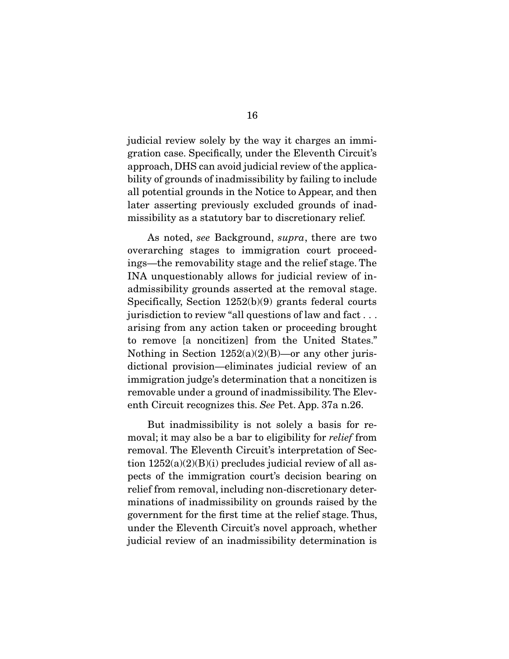judicial review solely by the way it charges an immigration case. Specifically, under the Eleventh Circuit's approach, DHS can avoid judicial review of the applicability of grounds of inadmissibility by failing to include all potential grounds in the Notice to Appear, and then later asserting previously excluded grounds of inadmissibility as a statutory bar to discretionary relief.

 As noted, see Background, supra, there are two overarching stages to immigration court proceedings—the removability stage and the relief stage. The INA unquestionably allows for judicial review of inadmissibility grounds asserted at the removal stage. Specifically, Section 1252(b)(9) grants federal courts jurisdiction to review "all questions of law and fact . . . arising from any action taken or proceeding brought to remove [a noncitizen] from the United States." Nothing in Section  $1252(a)(2)(B)$ —or any other jurisdictional provision—eliminates judicial review of an immigration judge's determination that a noncitizen is removable under a ground of inadmissibility. The Eleventh Circuit recognizes this. See Pet. App. 37a n.26.

 But inadmissibility is not solely a basis for removal; it may also be a bar to eligibility for *relief* from removal. The Eleventh Circuit's interpretation of Section  $1252(a)(2)(B)(i)$  precludes judicial review of all aspects of the immigration court's decision bearing on relief from removal, including non-discretionary determinations of inadmissibility on grounds raised by the government for the first time at the relief stage. Thus, under the Eleventh Circuit's novel approach, whether judicial review of an inadmissibility determination is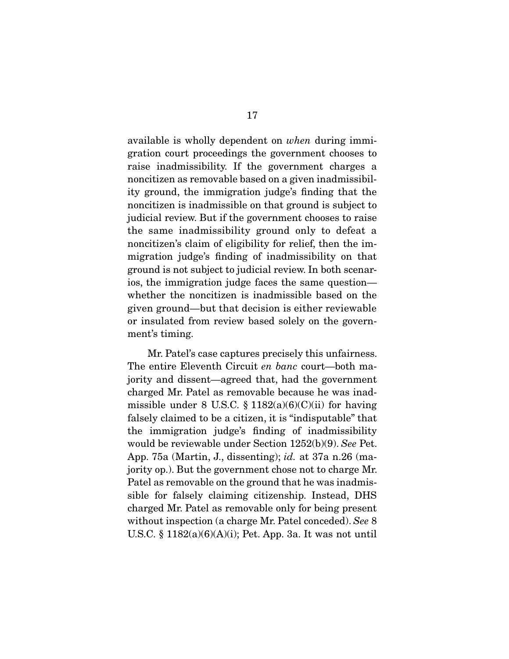available is wholly dependent on when during immigration court proceedings the government chooses to raise inadmissibility. If the government charges a noncitizen as removable based on a given inadmissibility ground, the immigration judge's finding that the noncitizen is inadmissible on that ground is subject to judicial review. But if the government chooses to raise the same inadmissibility ground only to defeat a noncitizen's claim of eligibility for relief, then the immigration judge's finding of inadmissibility on that ground is not subject to judicial review. In both scenarios, the immigration judge faces the same question whether the noncitizen is inadmissible based on the given ground—but that decision is either reviewable or insulated from review based solely on the government's timing.

 Mr. Patel's case captures precisely this unfairness. The entire Eleventh Circuit en banc court—both majority and dissent—agreed that, had the government charged Mr. Patel as removable because he was inadmissible under 8 U.S.C.  $\S 1182(a)(6)(C)(ii)$  for having falsely claimed to be a citizen, it is "indisputable" that the immigration judge's finding of inadmissibility would be reviewable under Section 1252(b)(9). See Pet. App. 75a (Martin, J., dissenting); id. at 37a n.26 (majority op.). But the government chose not to charge Mr. Patel as removable on the ground that he was inadmissible for falsely claiming citizenship. Instead, DHS charged Mr. Patel as removable only for being present without inspection (a charge Mr. Patel conceded). See 8 U.S.C. § 1182(a)(6)(A)(i); Pet. App. 3a. It was not until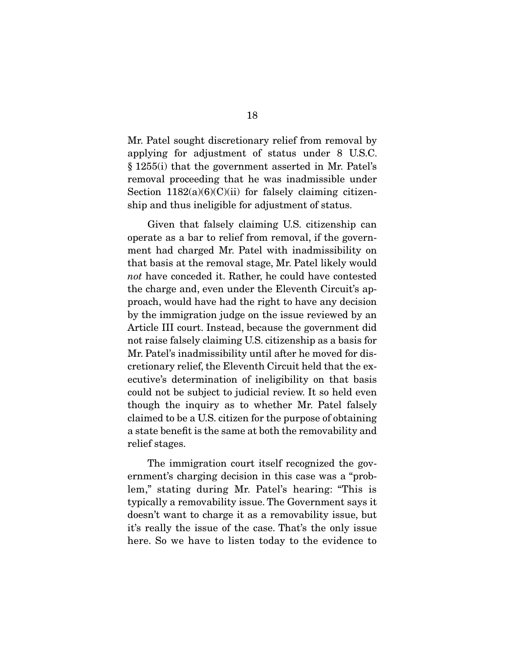Mr. Patel sought discretionary relief from removal by applying for adjustment of status under 8 U.S.C. § 1255(i) that the government asserted in Mr. Patel's removal proceeding that he was inadmissible under Section  $1182(a)(6)(C)(ii)$  for falsely claiming citizenship and thus ineligible for adjustment of status.

 Given that falsely claiming U.S. citizenship can operate as a bar to relief from removal, if the government had charged Mr. Patel with inadmissibility on that basis at the removal stage, Mr. Patel likely would not have conceded it. Rather, he could have contested the charge and, even under the Eleventh Circuit's approach, would have had the right to have any decision by the immigration judge on the issue reviewed by an Article III court. Instead, because the government did not raise falsely claiming U.S. citizenship as a basis for Mr. Patel's inadmissibility until after he moved for discretionary relief, the Eleventh Circuit held that the executive's determination of ineligibility on that basis could not be subject to judicial review. It so held even though the inquiry as to whether Mr. Patel falsely claimed to be a U.S. citizen for the purpose of obtaining a state benefit is the same at both the removability and relief stages.

 The immigration court itself recognized the government's charging decision in this case was a "problem," stating during Mr. Patel's hearing: "This is typically a removability issue. The Government says it doesn't want to charge it as a removability issue, but it's really the issue of the case. That's the only issue here. So we have to listen today to the evidence to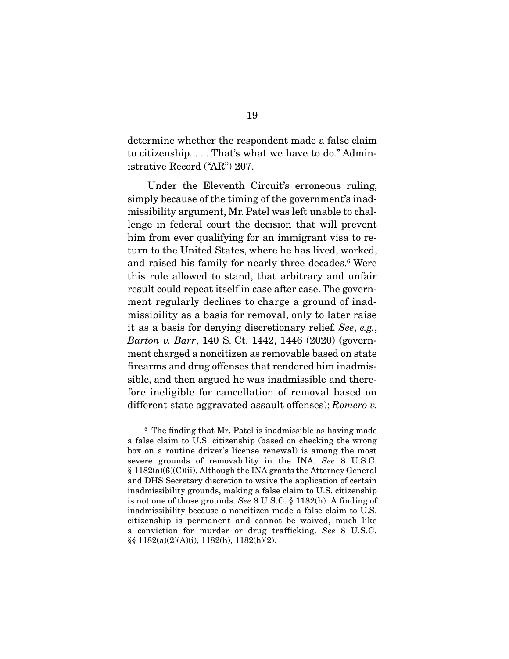determine whether the respondent made a false claim to citizenship. . . . That's what we have to do." Administrative Record ("AR") 207.

 Under the Eleventh Circuit's erroneous ruling, simply because of the timing of the government's inadmissibility argument, Mr. Patel was left unable to challenge in federal court the decision that will prevent him from ever qualifying for an immigrant visa to return to the United States, where he has lived, worked, and raised his family for nearly three decades.6 Were this rule allowed to stand, that arbitrary and unfair result could repeat itself in case after case. The government regularly declines to charge a ground of inadmissibility as a basis for removal, only to later raise it as a basis for denying discretionary relief. See, e.g., Barton v. Barr, 140 S. Ct. 1442, 1446 (2020) (government charged a noncitizen as removable based on state firearms and drug offenses that rendered him inadmissible, and then argued he was inadmissible and therefore ineligible for cancellation of removal based on different state aggravated assault offenses); Romero v.

<sup>&</sup>lt;sup>6</sup> The finding that Mr. Patel is inadmissible as having made a false claim to U.S. citizenship (based on checking the wrong box on a routine driver's license renewal) is among the most severe grounds of removability in the INA. See 8 U.S.C. § 1182(a)(6)(C)(ii). Although the INA grants the Attorney General and DHS Secretary discretion to waive the application of certain inadmissibility grounds, making a false claim to U.S. citizenship is not one of those grounds. See 8 U.S.C. § 1182(h). A finding of inadmissibility because a noncitizen made a false claim to U.S. citizenship is permanent and cannot be waived, much like a conviction for murder or drug trafficking. See 8 U.S.C. §§ 1182(a)(2)(A)(i), 1182(h), 1182(h)(2).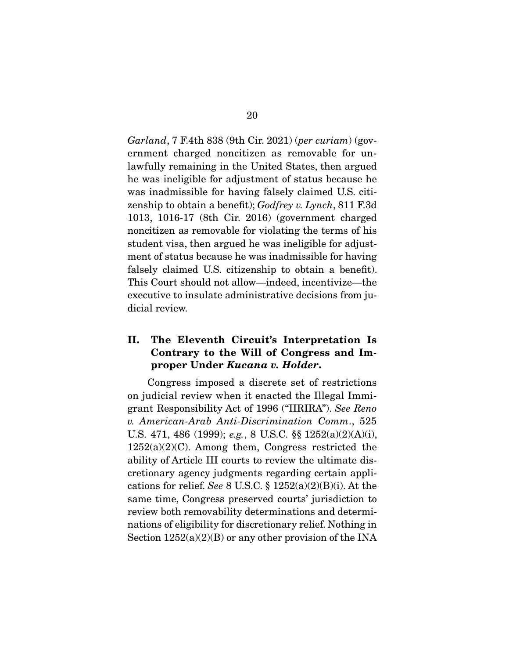Garland, 7 F.4th 838 (9th Cir. 2021) (per curiam) (government charged noncitizen as removable for unlawfully remaining in the United States, then argued he was ineligible for adjustment of status because he was inadmissible for having falsely claimed U.S. citizenship to obtain a benefit); Godfrey v. Lynch, 811 F.3d 1013, 1016-17 (8th Cir. 2016) (government charged noncitizen as removable for violating the terms of his student visa, then argued he was ineligible for adjustment of status because he was inadmissible for having falsely claimed U.S. citizenship to obtain a benefit). This Court should not allow—indeed, incentivize—the executive to insulate administrative decisions from judicial review.

### **II. The Eleventh Circuit's Interpretation Is Contrary to the Will of Congress and Improper Under** *Kucana v. Holder***.**

 Congress imposed a discrete set of restrictions on judicial review when it enacted the Illegal Immigrant Responsibility Act of 1996 ("IIRIRA"). See Reno v. American-Arab Anti-Discrimination Comm., 525 U.S. 471, 486 (1999); e.g., 8 U.S.C. §§ 1252(a)(2)(A)(i),  $1252(a)(2)(C)$ . Among them, Congress restricted the ability of Article III courts to review the ultimate discretionary agency judgments regarding certain applications for relief. See 8 U.S.C.  $\S$  1252(a)(2)(B)(i). At the same time, Congress preserved courts' jurisdiction to review both removability determinations and determinations of eligibility for discretionary relief. Nothing in Section  $1252(a)(2)(B)$  or any other provision of the INA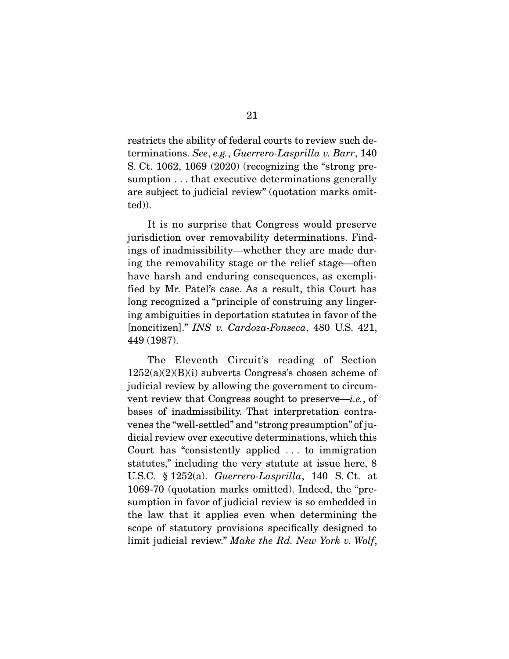restricts the ability of federal courts to review such determinations. See, e.g., Guerrero-Lasprilla v. Barr, 140 S. Ct. 1062, 1069 (2020) (recognizing the "strong presumption . . . that executive determinations generally are subject to judicial review" (quotation marks omitted)).

 It is no surprise that Congress would preserve jurisdiction over removability determinations. Findings of inadmissibility—whether they are made during the removability stage or the relief stage—often have harsh and enduring consequences, as exemplified by Mr. Patel's case. As a result, this Court has long recognized a "principle of construing any lingering ambiguities in deportation statutes in favor of the [noncitizen]." INS v. Cardoza-Fonseca, 480 U.S. 421, 449 (1987).

 The Eleventh Circuit's reading of Section  $1252(a)(2)(B)(i)$  subverts Congress's chosen scheme of judicial review by allowing the government to circumvent review that Congress sought to preserve—i.e., of bases of inadmissibility. That interpretation contravenes the "well-settled" and "strong presumption" of judicial review over executive determinations, which this Court has "consistently applied . . . to immigration statutes," including the very statute at issue here, 8 U.S.C. § 1252(a). Guerrero-Lasprilla, 140 S. Ct. at 1069-70 (quotation marks omitted). Indeed, the "presumption in favor of judicial review is so embedded in the law that it applies even when determining the scope of statutory provisions specifically designed to limit judicial review." Make the Rd. New York v. Wolf,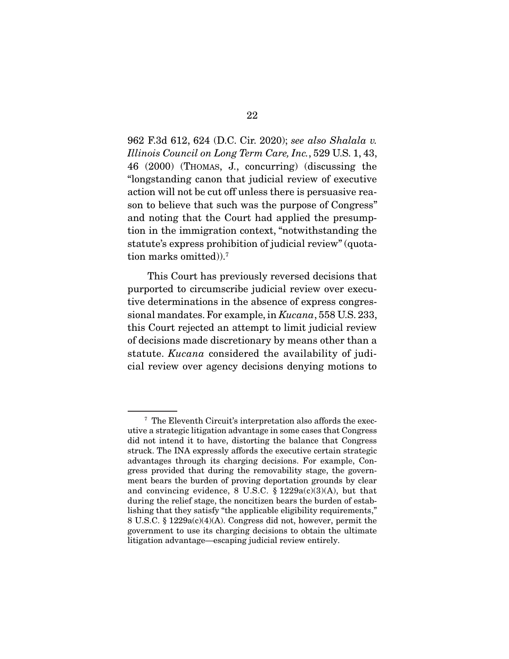962 F.3d 612, 624 (D.C. Cir. 2020); see also Shalala v. Illinois Council on Long Term Care, Inc., 529 U.S. 1, 43, 46 (2000) (THOMAS, J., concurring) (discussing the "longstanding canon that judicial review of executive action will not be cut off unless there is persuasive reason to believe that such was the purpose of Congress" and noting that the Court had applied the presumption in the immigration context, "notwithstanding the statute's express prohibition of judicial review" (quotation marks omitted)).7

 This Court has previously reversed decisions that purported to circumscribe judicial review over executive determinations in the absence of express congressional mandates. For example, in Kucana, 558 U.S. 233, this Court rejected an attempt to limit judicial review of decisions made discretionary by means other than a statute. *Kucana* considered the availability of judicial review over agency decisions denying motions to

<sup>7</sup> The Eleventh Circuit's interpretation also affords the executive a strategic litigation advantage in some cases that Congress did not intend it to have, distorting the balance that Congress struck. The INA expressly affords the executive certain strategic advantages through its charging decisions. For example, Congress provided that during the removability stage, the government bears the burden of proving deportation grounds by clear and convincing evidence, 8 U.S.C.  $\S$  1229a(c)(3)(A), but that during the relief stage, the noncitizen bears the burden of establishing that they satisfy "the applicable eligibility requirements," 8 U.S.C. § 1229a(c)(4)(A). Congress did not, however, permit the government to use its charging decisions to obtain the ultimate litigation advantage—escaping judicial review entirely.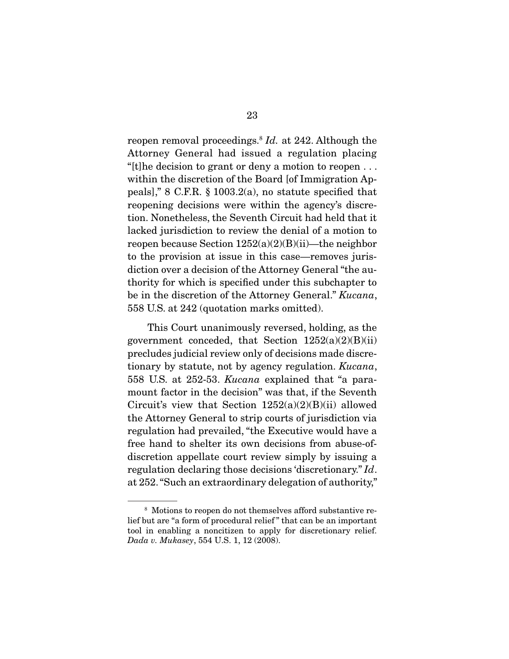reopen removal proceedings.<sup>8</sup> Id. at 242. Although the Attorney General had issued a regulation placing "[t]he decision to grant or deny a motion to reopen . . . within the discretion of the Board [of Immigration Appeals]," 8 C.F.R. § 1003.2(a), no statute specified that reopening decisions were within the agency's discretion. Nonetheless, the Seventh Circuit had held that it lacked jurisdiction to review the denial of a motion to reopen because Section  $1252(a)(2)(B)(ii)$ —the neighbor to the provision at issue in this case—removes jurisdiction over a decision of the Attorney General "the authority for which is specified under this subchapter to be in the discretion of the Attorney General." Kucana, 558 U.S. at 242 (quotation marks omitted).

 This Court unanimously reversed, holding, as the government conceded, that Section  $1252(a)(2)(B)(ii)$ precludes judicial review only of decisions made discretionary by statute, not by agency regulation. Kucana, 558 U.S. at 252-53. Kucana explained that "a paramount factor in the decision" was that, if the Seventh Circuit's view that Section  $1252(a)(2)(B)(ii)$  allowed the Attorney General to strip courts of jurisdiction via regulation had prevailed, "the Executive would have a free hand to shelter its own decisions from abuse-ofdiscretion appellate court review simply by issuing a regulation declaring those decisions 'discretionary." Id. at 252. "Such an extraordinary delegation of authority,"

<sup>8</sup> Motions to reopen do not themselves afford substantive relief but are "a form of procedural relief " that can be an important tool in enabling a noncitizen to apply for discretionary relief. Dada v. Mukasey, 554 U.S. 1, 12 (2008).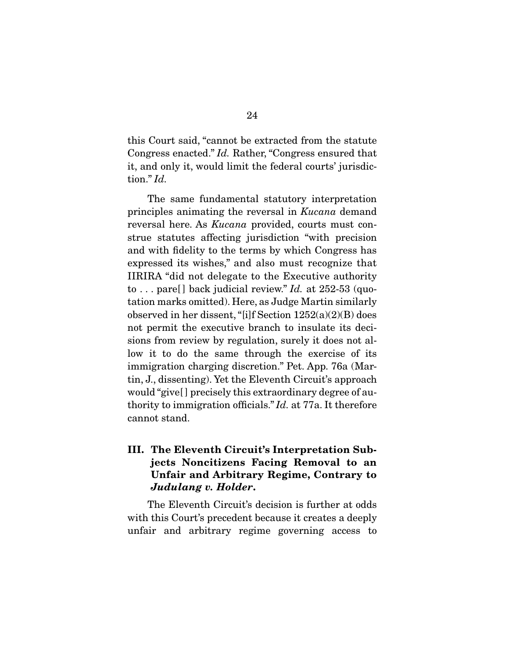this Court said, "cannot be extracted from the statute Congress enacted." Id. Rather, "Congress ensured that it, and only it, would limit the federal courts' jurisdiction." Id.

 The same fundamental statutory interpretation principles animating the reversal in Kucana demand reversal here. As Kucana provided, courts must construe statutes affecting jurisdiction "with precision and with fidelity to the terms by which Congress has expressed its wishes," and also must recognize that IIRIRA "did not delegate to the Executive authority to ... pare [] back judicial review." Id. at  $252-53$  (quotation marks omitted). Here, as Judge Martin similarly observed in her dissent, "[i]f Section 1252(a)(2)(B) does not permit the executive branch to insulate its decisions from review by regulation, surely it does not allow it to do the same through the exercise of its immigration charging discretion." Pet. App. 76a (Martin, J., dissenting). Yet the Eleventh Circuit's approach would "give[ ] precisely this extraordinary degree of authority to immigration officials." Id. at 77a. It therefore cannot stand.

**III. The Eleventh Circuit's Interpretation Subjects Noncitizens Facing Removal to an Unfair and Arbitrary Regime, Contrary to**  *Judulang v. Holder***.** 

 The Eleventh Circuit's decision is further at odds with this Court's precedent because it creates a deeply unfair and arbitrary regime governing access to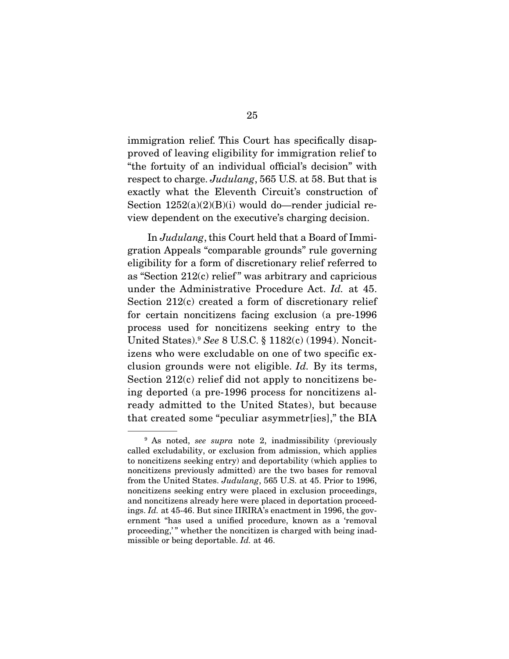immigration relief. This Court has specifically disapproved of leaving eligibility for immigration relief to "the fortuity of an individual official's decision" with respect to charge. Judulang, 565 U.S. at 58. But that is exactly what the Eleventh Circuit's construction of Section  $1252(a)(2)(B)(i)$  would do—render judicial review dependent on the executive's charging decision.

 In Judulang, this Court held that a Board of Immigration Appeals "comparable grounds" rule governing eligibility for a form of discretionary relief referred to as "Section  $212(c)$  relief" was arbitrary and capricious under the Administrative Procedure Act. Id. at 45. Section 212(c) created a form of discretionary relief for certain noncitizens facing exclusion (a pre-1996 process used for noncitizens seeking entry to the United States).9 See 8 U.S.C. § 1182(c) (1994). Noncitizens who were excludable on one of two specific exclusion grounds were not eligible. Id. By its terms, Section 212(c) relief did not apply to noncitizens being deported (a pre-1996 process for noncitizens already admitted to the United States), but because that created some "peculiar asymmetr[ies]," the BIA

<sup>&</sup>lt;sup>9</sup> As noted, *see supra* note 2, inadmissibility (previously called excludability, or exclusion from admission, which applies to noncitizens seeking entry) and deportability (which applies to noncitizens previously admitted) are the two bases for removal from the United States. Judulang, 565 U.S. at 45. Prior to 1996, noncitizens seeking entry were placed in exclusion proceedings, and noncitizens already here were placed in deportation proceedings. Id. at 45-46. But since IIRIRA's enactment in 1996, the government "has used a unified procedure, known as a 'removal proceeding,'" whether the noncitizen is charged with being inadmissible or being deportable. Id. at 46.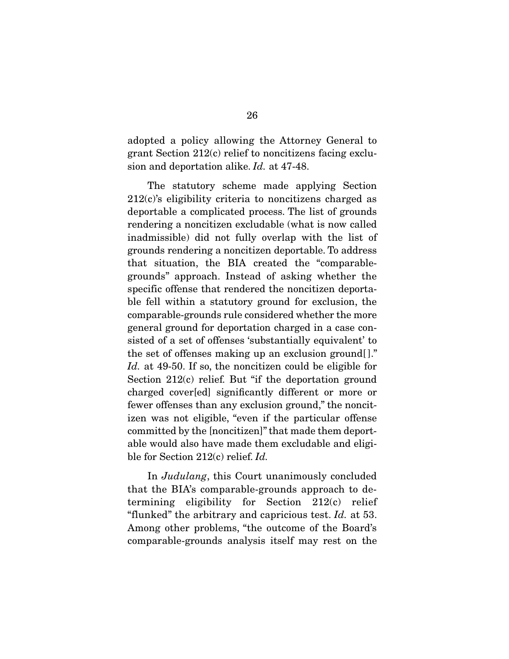adopted a policy allowing the Attorney General to grant Section 212(c) relief to noncitizens facing exclusion and deportation alike. Id. at 47-48.

 The statutory scheme made applying Section 212(c)'s eligibility criteria to noncitizens charged as deportable a complicated process. The list of grounds rendering a noncitizen excludable (what is now called inadmissible) did not fully overlap with the list of grounds rendering a noncitizen deportable. To address that situation, the BIA created the "comparablegrounds" approach. Instead of asking whether the specific offense that rendered the noncitizen deportable fell within a statutory ground for exclusion, the comparable-grounds rule considered whether the more general ground for deportation charged in a case consisted of a set of offenses 'substantially equivalent' to the set of offenses making up an exclusion ground[ ]." Id. at 49-50. If so, the noncitizen could be eligible for Section 212(c) relief. But "if the deportation ground charged cover[ed] significantly different or more or fewer offenses than any exclusion ground," the noncitizen was not eligible, "even if the particular offense committed by the [noncitizen]" that made them deportable would also have made them excludable and eligible for Section 212(c) relief. Id.

 In Judulang, this Court unanimously concluded that the BIA's comparable-grounds approach to determining eligibility for Section 212(c) relief "flunked" the arbitrary and capricious test.  $Id.$  at 53. Among other problems, "the outcome of the Board's comparable-grounds analysis itself may rest on the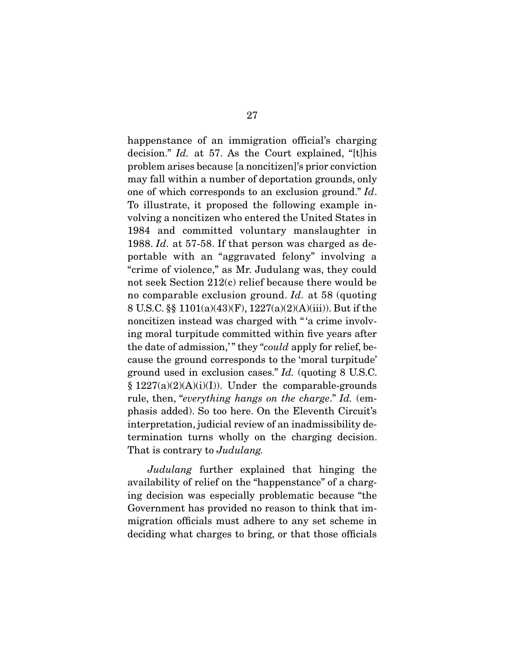happenstance of an immigration official's charging decision." Id. at 57. As the Court explained, "[t]his problem arises because [a noncitizen]'s prior conviction may fall within a number of deportation grounds, only one of which corresponds to an exclusion ground." Id. To illustrate, it proposed the following example involving a noncitizen who entered the United States in 1984 and committed voluntary manslaughter in 1988. Id. at 57-58. If that person was charged as deportable with an "aggravated felony" involving a "crime of violence," as Mr. Judulang was, they could not seek Section 212(c) relief because there would be no comparable exclusion ground. Id. at 58 (quoting 8 U.S.C. §§ 1101(a)(43)(F), 1227(a)(2)(A)(iii)). But if the noncitizen instead was charged with " 'a crime involving moral turpitude committed within five years after the date of admission," they "could apply for relief, because the ground corresponds to the 'moral turpitude' ground used in exclusion cases." Id. (quoting 8 U.S.C.  $§ 1227(a)(2)(A)(i)(I)).$  Under the comparable-grounds rule, then, "everything hangs on the charge." Id. (emphasis added). So too here. On the Eleventh Circuit's interpretation, judicial review of an inadmissibility determination turns wholly on the charging decision. That is contrary to *Judulang*.

Judulang further explained that hinging the availability of relief on the "happenstance" of a charging decision was especially problematic because "the Government has provided no reason to think that immigration officials must adhere to any set scheme in deciding what charges to bring, or that those officials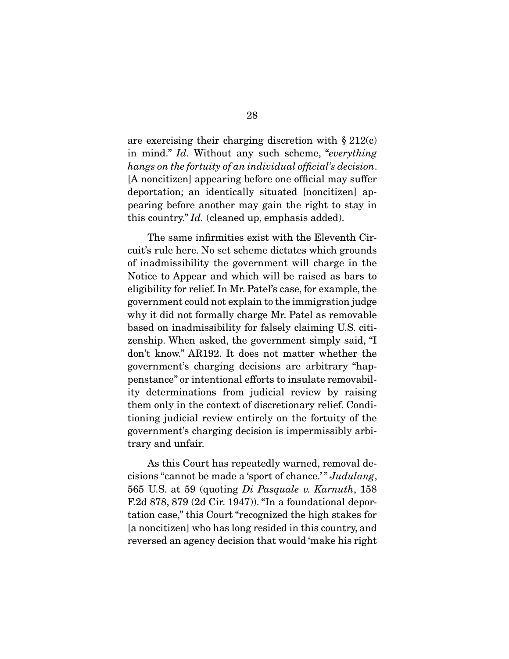are exercising their charging discretion with  $\S 212(c)$ in mind." Id. Without any such scheme, "everything hangs on the fortuity of an individual official's decision. [A noncitizen] appearing before one official may suffer deportation; an identically situated [noncitizen] appearing before another may gain the right to stay in this country." Id. (cleaned up, emphasis added).

 The same infirmities exist with the Eleventh Circuit's rule here. No set scheme dictates which grounds of inadmissibility the government will charge in the Notice to Appear and which will be raised as bars to eligibility for relief. In Mr. Patel's case, for example, the government could not explain to the immigration judge why it did not formally charge Mr. Patel as removable based on inadmissibility for falsely claiming U.S. citizenship. When asked, the government simply said, "I don't know." AR192. It does not matter whether the government's charging decisions are arbitrary "happenstance" or intentional efforts to insulate removability determinations from judicial review by raising them only in the context of discretionary relief. Conditioning judicial review entirely on the fortuity of the government's charging decision is impermissibly arbitrary and unfair.

 As this Court has repeatedly warned, removal decisions "cannot be made a 'sport of chance.' " Judulang, 565 U.S. at 59 (quoting Di Pasquale v. Karnuth, 158 F.2d 878, 879 (2d Cir. 1947)). "In a foundational deportation case," this Court "recognized the high stakes for [a noncitizen] who has long resided in this country, and reversed an agency decision that would 'make his right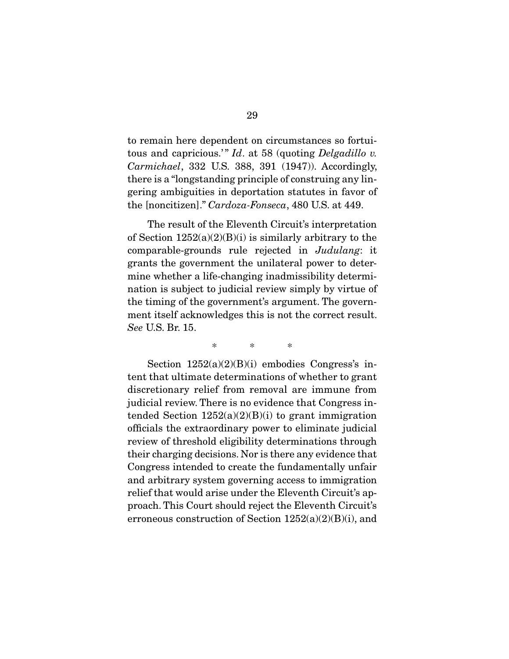to remain here dependent on circumstances so fortuitous and capricious.'"  $Id.$  at 58 (quoting Delgadillo v. Carmichael, 332 U.S. 388, 391 (1947)). Accordingly, there is a "longstanding principle of construing any lingering ambiguities in deportation statutes in favor of the [noncitizen]." Cardoza-Fonseca, 480 U.S. at 449.

 The result of the Eleventh Circuit's interpretation of Section  $1252(a)(2)(B)(i)$  is similarly arbitrary to the comparable-grounds rule rejected in Judulang: it grants the government the unilateral power to determine whether a life-changing inadmissibility determination is subject to judicial review simply by virtue of the timing of the government's argument. The government itself acknowledges this is not the correct result. See U.S. Br. 15.

\* \* \*

Section  $1252(a)(2)(B)(i)$  embodies Congress's intent that ultimate determinations of whether to grant discretionary relief from removal are immune from judicial review. There is no evidence that Congress intended Section  $1252(a)(2)(B)(i)$  to grant immigration officials the extraordinary power to eliminate judicial review of threshold eligibility determinations through their charging decisions. Nor is there any evidence that Congress intended to create the fundamentally unfair and arbitrary system governing access to immigration relief that would arise under the Eleventh Circuit's approach. This Court should reject the Eleventh Circuit's erroneous construction of Section  $1252(a)(2)(B)(i)$ , and